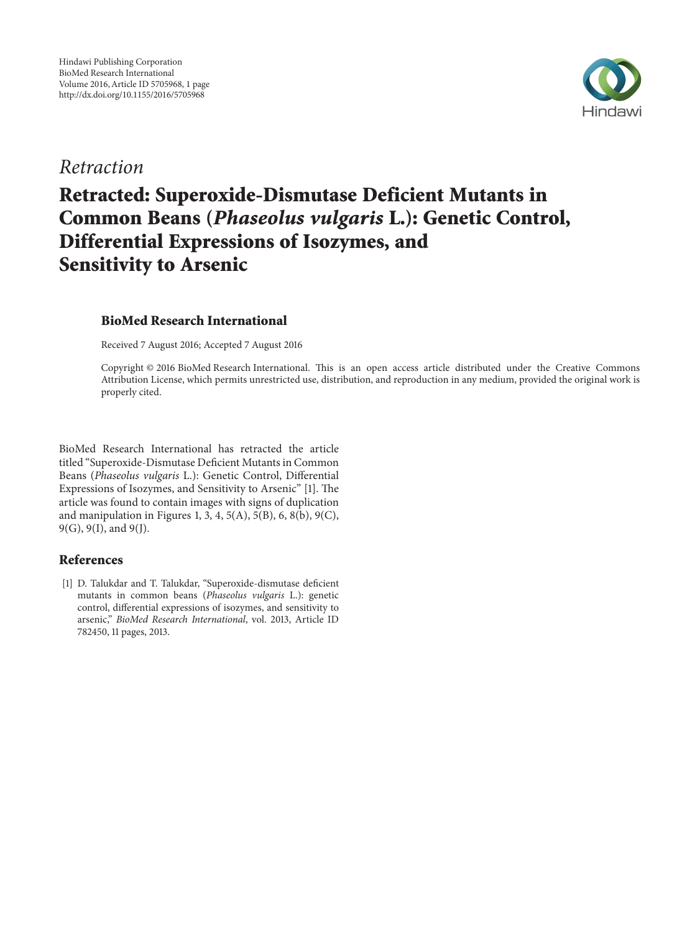

## Retraction

# Retracted: Superoxide-Dismutase Deficient Mutants in Common Beans (Phaseolus vulgaris L.): Genetic Control, Differential Expressions of Isozymes, and Sensitivity to Arsenic

#### BioMed Research International

Received 7 August 2016; Accepted 7 August 2016

Copyright © 2016 BioMed Research International. This is an open access article distributed under the Creative Commons Attribution License, which permits unrestricted use, distribution, and reproduction in any medium, provided the original work is properly cited.

BioMed Research International has retracted the article titled "Superoxide-Dismutase Deficient Mutants in Common Beans (Phaseolus vulgaris L.): Genetic Control, Differential Expressions of Isozymes, and Sensitivity to Arsenic" [1]. The article was found to contain images with signs of duplication and manipulation in Figures 1, 3, 4, 5(A), 5(B), 6, 8(b), 9(C), 9(G), 9(I), and 9(J).

#### References

[1] D. Talukdar and T. Talukdar, "Superoxide-dismutase deficient mutants in common beans (Phaseolus vulgaris L.): genetic control, differential expressions of isozymes, and sensitivity to arsenic," BioMed Research International, vol. 2013, Article ID 782450, 11 pages, 2013.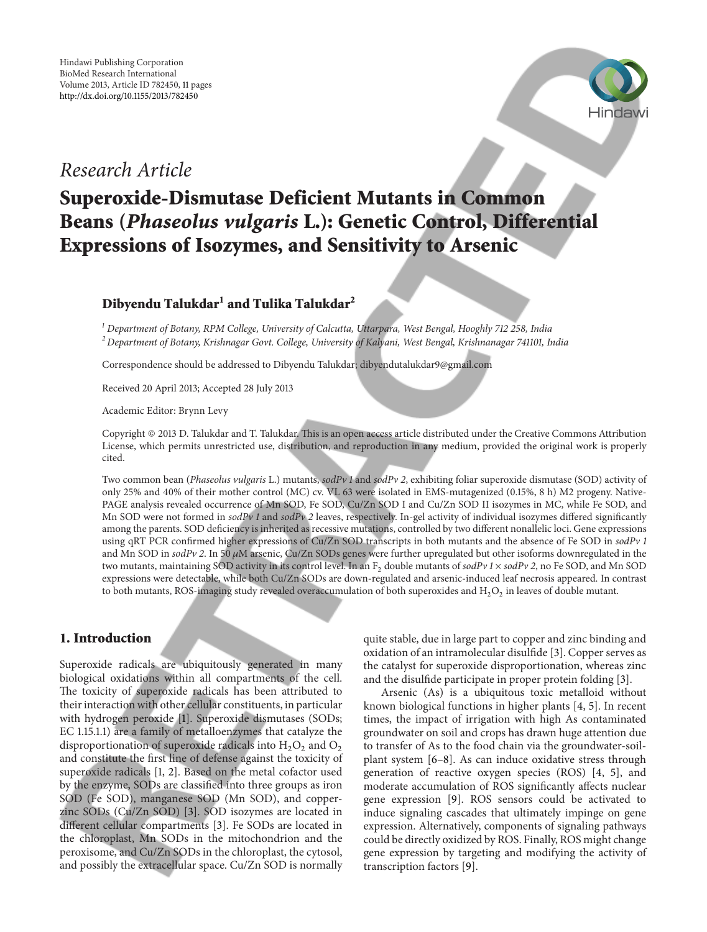

### Research Article

## Superoxide-Dismutase Deficient Mutants in Common Beans (Phaseolus vulgaris L.): Genetic Control, Differential Expressions of Isozymes, and Sensitivity to Arsenic

#### ${\bf D}$ ibyendu Talukdar $^1$  and Tulika Talukdar $^2$

 $1$  Department of Botany, RPM College, University of Calcutta, Uttarpara, West Bengal, Hooghly 712 258, India <sup>2</sup> Department of Botany, Krishnagar Govt. College, University of Kalyani, West Bengal, Krishnanagar 741101, India

Correspondence should be addressed to Dibyendu Talukdar; dibyendutalukdar9@gmail.com

Received 20 April 2013; Accepted 28 July 2013

Academic Editor: Brynn Levy

Copyright © 2013 D. Talukdar and T. Talukdar. This is an open access article distributed under the Creative Commons Attribution License, which permits unrestricted use, distribution, and reproduction in any medium, provided the original work is properly cited.

Two common bean (Phaseolus vulgaris L.) mutants, sodPv 1 and sodPv 2, exhibiting foliar superoxide dismutase (SOD) activity of only 25% and 40% of their mother control (MC) cv. VL 63 were isolated in EMS-mutagenized (0.15%, 8 h) M2 progeny. Native-PAGE analysis revealed occurrence of Mn SOD, Fe SOD, Cu/Zn SOD I and Cu/Zn SOD II isozymes in MC, while Fe SOD, and Mn SOD were not formed in sodPv 1 and sodPv 2 leaves, respectively. In-gel activity of individual isozymes differed significantly among the parents. SOD deficiency is inherited as recessive mutations, controlled by two different nonallelic loci. Gene expressions using qRT PCR confirmed higher expressions of Cu/Zn SOD transcripts in both mutants and the absence of Fe SOD in sodPv 1 and Mn SOD in  $sodPv$  2. In 50  $\mu$ M arsenic, Cu/Zn SODs genes were further upregulated but other isoforms downregulated in the two mutants, maintaining SOD activity in its control level. In an  $F_2$  double mutants of sodPv 1 × sodPv 2, no Fe SOD, and Mn SOD expressions were detectable, while both Cu/Zn SODs are down-regulated and arsenic-induced leaf necrosis appeared. In contrast to both mutants, ROS-imaging study revealed overaccumulation of both superoxides and  $\rm H_2O_2$  in leaves of double mutant.

#### 1. Introduction

Superoxide radicals are ubiquitously generated in many biological oxidations within all compartments of the cell. The toxicity of superoxide radicals has been attributed to their interaction with other cellular constituents, in particular with hydrogen peroxide [1]. Superoxide dismutases (SODs; EC 1.15.1.1) are a family of metalloenzymes that catalyze the disproportionation of superoxide radicals into  $\rm H_2O_2$  and  $\rm O_2$ and constitute the first line of defense against the toxicity of superoxide radicals [1, 2]. Based on the metal cofactor used by the enzyme, SODs are classified into three groups as iron SOD (Fe SOD), manganese SOD (Mn SOD), and copperzinc SODs (Cu/Zn SOD) [3]. SOD isozymes are located in different cellular compartments [3]. Fe SODs are located in the chloroplast, Mn SODs in the mitochondrion and the peroxisome, and Cu/Zn SODs in the chloroplast, the cytosol, and possibly the extracellular space. Cu/Zn SOD is normally

quite stable, due in large part to copper and zinc binding and oxidation of an intramolecular disulfide [3]. Copper serves as the catalyst for superoxide disproportionation, whereas zinc and the disulfide participate in proper protein folding [3].

Arsenic (As) is a ubiquitous toxic metalloid without known biological functions in higher plants [4, 5]. In recent times, the impact of irrigation with high As contaminated groundwater on soil and crops has drawn huge attention due to transfer of As to the food chain via the groundwater-soilplant system [6–8]. As can induce oxidative stress through generation of reactive oxygen species (ROS) [4, 5], and moderate accumulation of ROS significantly affects nuclear gene expression [9]. ROS sensors could be activated to induce signaling cascades that ultimately impinge on gene expression. Alternatively, components of signaling pathways could be directly oxidized by ROS. Finally, ROS might change gene expression by targeting and modifying the activity of transcription factors [9].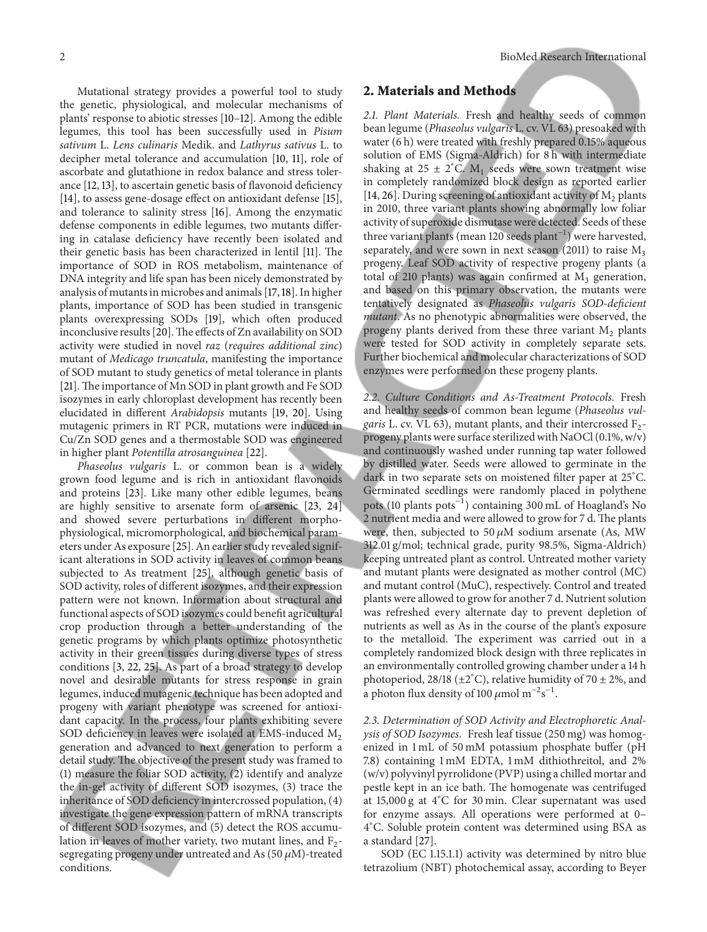Mutational strategy provides a powerful tool to study the genetic, physiological, and molecular mechanisms of plants' response to abiotic stresses [10–12]. Among the edible legumes, this tool has been successfully used in Pisum sativum L. Lens culinaris Medik. and Lathyrus sativus L. to decipher metal tolerance and accumulation [10, 11], role of ascorbate and glutathione in redox balance and stress tolerance [12, 13], to ascertain genetic basis of flavonoid deficiency [14], to assess gene-dosage effect on antioxidant defense [15], and tolerance to salinity stress [16]. Among the enzymatic defense components in edible legumes, two mutants differing in catalase deficiency have recently been isolated and their genetic basis has been characterized in lentil [11]. The importance of SOD in ROS metabolism, maintenance of DNA integrity and life span has been nicely demonstrated by analysis of mutants in microbes and animals [17,18]. In higher plants, importance of SOD has been studied in transgenic plants overexpressing SODs [19], which often produced inconclusive results [20]. The effects of Zn availability on SOD activity were studied in novel raz (requires additional zinc) mutant of Medicago truncatula, manifesting the importance of SOD mutant to study genetics of metal tolerance in plants [21]. The importance of Mn SOD in plant growth and Fe SOD isozymes in early chloroplast development has recently been elucidated in different Arabidopsis mutants [19, 20]. Using mutagenic primers in RT PCR, mutations were induced in Cu/Zn SOD genes and a thermostable SOD was engineered in higher plant Potentilla atrosanguinea [22].

Phaseolus vulgaris L. or common bean is a widely grown food legume and is rich in antioxidant flavonoids and proteins [23]. Like many other edible legumes, beans are highly sensitive to arsenate form of arsenic [23, 24] and showed severe perturbations in different morphophysiological, micromorphological, and biochemical parameters under As exposure [25]. An earlier study revealed significant alterations in SOD activity in leaves of common beans subjected to As treatment [25], although genetic basis of SOD activity, roles of different isozymes, and their expression pattern were not known. Information about structural and functional aspects of SOD isozymes could benefit agricultural crop production through a better understanding of the genetic programs by which plants optimize photosynthetic activity in their green tissues during diverse types of stress conditions [3, 22, 25]. As part of a broad strategy to develop novel and desirable mutants for stress response in grain legumes, induced mutagenic technique has been adopted and progeny with variant phenotype was screened for antioxidant capacity. In the process, four plants exhibiting severe SOD deficiency in leaves were isolated at EMS-induced  $M_2$ generation and advanced to next generation to perform a detail study. The objective of the present study was framed to (1) measure the foliar SOD activity, (2) identify and analyze the in-gel activity of different SOD isozymes, (3) trace the inheritance of SOD deficiency in intercrossed population, (4) investigate the gene expression pattern of mRNA transcripts of different SOD isozymes, and (5) detect the ROS accumulation in leaves of mother variety, two mutant lines, and  $F_2$ segregating progeny under untreated and As (50  $\mu$ M)-treated conditions.

#### 2. Materials and Methods

2.1. Plant Materials. Fresh and healthy seeds of common bean legume (Phaseolus vulgaris L. cv. VL 63) presoaked with water (6 h) were treated with freshly prepared 0.15% aqueous solution of EMS (Sigma-Aldrich) for 8 h with intermediate shaking at 25 ± 2°C.  $M_1$  seeds were sown treatment wise in completely randomized block design as reported earlier [14, 26]. During screening of antioxidant activity of  $M_2$  plants in 2010, three variant plants showing abnormally low foliar activity of superoxide dismutase were detected. Seeds of these three variant plants (mean 120 seeds plant−1) were harvested, separately, and were sown in next season (2011) to raise  $M_3$ progeny. Leaf SOD activity of respective progeny plants (a total of 210 plants) was again confirmed at  $M_3$  generation, and based on this primary observation, the mutants were tentatively designated as Phaseolus vulgaris SOD-deficient mutant. As no phenotypic abnormalities were observed, the progeny plants derived from these three variant  $M_2$  plants were tested for SOD activity in completely separate sets. Further biochemical and molecular characterizations of SOD enzymes were performed on these progeny plants.

2.2. Culture Conditions and As-Treatment Protocols. Fresh and healthy seeds of common bean legume (Phaseolus vul*garis* L. cv. VL 63), mutant plants, and their intercrossed  $F_2$ progeny plants were surface sterilized with NaOCl (0.1%, w/v) and continuously washed under running tap water followed by distilled water. Seeds were allowed to germinate in the dark in two separate sets on moistened filter paper at 25<sup>∘</sup>C. Germinated seedlings were randomly placed in polythene pots (10 plants pots−1) containing 300 mL of Hoagland's No 2 nutrient media and were allowed to grow for 7 d. The plants were, then, subjected to 50  $\mu$ M sodium arsenate (As, MW 312.01 g/mol; technical grade, purity 98.5%, Sigma-Aldrich) keeping untreated plant as control. Untreated mother variety and mutant plants were designated as mother control (MC) and mutant control (MuC), respectively. Control and treated plants were allowed to grow for another 7 d. Nutrient solution was refreshed every alternate day to prevent depletion of nutrients as well as As in the course of the plant's exposure to the metalloid. The experiment was carried out in a completely randomized block design with three replicates in an environmentally controlled growing chamber under a 14 h photoperiod, 28/18 (±2°C), relative humidity of 70 ± 2%, and a photon flux density of 100  $\mu$ mol m<sup>-2</sup>s<sup>-1</sup>.

2.3. Determination of SOD Activity and Electrophoretic Analysis of SOD Isozymes. Fresh leaf tissue (250 mg) was homogenized in 1 mL of 50 mM potassium phosphate buffer (pH 7.8) containing 1 mM EDTA, 1 mM dithiothreitol, and 2% (w/v) polyvinyl pyrrolidone (PVP) using a chilled mortar and pestle kept in an ice bath. The homogenate was centrifuged at 15,000 g at 4<sup>∘</sup>C for 30 min. Clear supernatant was used for enzyme assays. All operations were performed at 0– 4 <sup>∘</sup>C. Soluble protein content was determined using BSA as a standard [27].

SOD (EC 1.15.1.1) activity was determined by nitro blue tetrazolium (NBT) photochemical assay, according to Beyer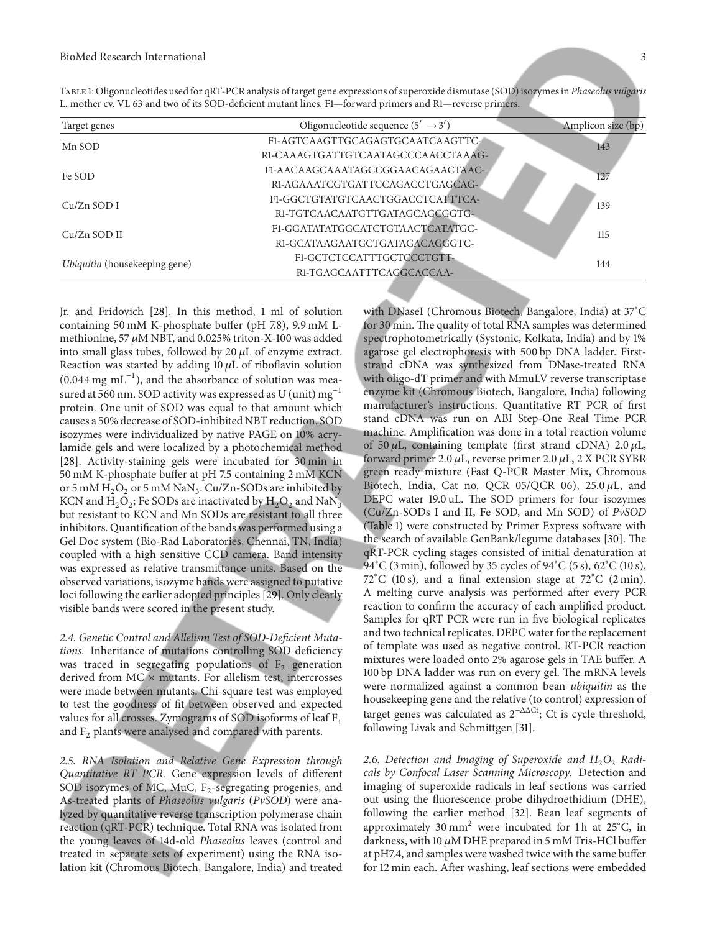| F1-AGTCAAGTTGCAGAGTGCAATCAAGTTC-<br>Mn SOD<br>143<br>RI-CAAAGTGATTGTCAATAGCCCAACCTAAAG-<br>F1-AACAAGCAAATAGCCGGAACAGAACTAAC-<br>Fe SOD<br>127<br>RI-AGAAATCGTGATTCCAGACCTGAGCAG-<br>F1-GGCTGTATGTCAACTGGACCTCATTTCA-<br>$Cu/Zn$ SOD I<br>139<br>RI-TGTCAACAATGTTGATAGCAGCGGTG-<br>F1-GGATATATGGCATCTGTAACTCATATGC-<br>$Cu/Zn$ SOD II<br>115<br>RI-GCATAAGAATGCTGATAGACAGGGTC-<br>F1-GCTCTCCATTTGCTCCCTGTT-<br>Ubiquitin (housekeeping gene)<br>144<br>RI-TGAGCAATTTCAGGCACCAA- | Target genes | Oligonucleotide sequence $(5' \rightarrow 3')$ | Amplicon size (bp) |
|--------------------------------------------------------------------------------------------------------------------------------------------------------------------------------------------------------------------------------------------------------------------------------------------------------------------------------------------------------------------------------------------------------------------------------------------------------------------------------|--------------|------------------------------------------------|--------------------|
|                                                                                                                                                                                                                                                                                                                                                                                                                                                                                |              |                                                |                    |
|                                                                                                                                                                                                                                                                                                                                                                                                                                                                                |              |                                                |                    |
|                                                                                                                                                                                                                                                                                                                                                                                                                                                                                |              |                                                |                    |
|                                                                                                                                                                                                                                                                                                                                                                                                                                                                                |              |                                                |                    |
|                                                                                                                                                                                                                                                                                                                                                                                                                                                                                |              |                                                |                    |
|                                                                                                                                                                                                                                                                                                                                                                                                                                                                                |              |                                                |                    |
|                                                                                                                                                                                                                                                                                                                                                                                                                                                                                |              |                                                |                    |
|                                                                                                                                                                                                                                                                                                                                                                                                                                                                                |              |                                                |                    |
|                                                                                                                                                                                                                                                                                                                                                                                                                                                                                |              |                                                |                    |
|                                                                                                                                                                                                                                                                                                                                                                                                                                                                                |              |                                                |                    |

Table 1: Oligonucleotides used for qRT-PCR analysis of target gene expressions of superoxide dismutase (SOD) isozymes in Phaseolus vulgaris L. mother cv. VL 63 and two of its SOD-deficient mutant lines. F1—forward primers and R1—reverse primers.

Jr. and Fridovich [28]. In this method, 1 ml of solution containing 50 mM K-phosphate buffer (pH 7.8), 9.9 mM Lmethionine, 57  $\mu$ M NBT, and 0.025% triton-X-100 was added into small glass tubes, followed by  $20 \mu L$  of enzyme extract. Reaction was started by adding  $10 \mu L$  of riboflavin solution  $(0.044 \text{ mg } \text{mL}^{-1})$ , and the absorbance of solution was measured at 560 nm. SOD activity was expressed as U (unit)  $mg^{-1}$ protein. One unit of SOD was equal to that amount which causes a 50% decrease of SOD-inhibited NBT reduction. SOD isozymes were individualized by native PAGE on 10% acrylamide gels and were localized by a photochemical method [28]. Activity-staining gels were incubated for 30 min in 50 mM K-phosphate buffer at pH 7.5 containing 2 mM KCN or 5 mM  $\rm H_2O_2$  or 5 mM  $\rm NaN_3$ . Cu/Zn-SODs are inhibited by KCN and  $\rm{H_2O_2}$ ; Fe SODs are inactivated by  $\rm{H_2O_2}$  and  $\rm{NaN_3}$ but resistant to KCN and Mn SODs are resistant to all three inhibitors. Quantification of the bands was performed using a Gel Doc system (Bio-Rad Laboratories, Chennai, TN, India) coupled with a high sensitive CCD camera. Band intensity was expressed as relative transmittance units. Based on the observed variations, isozyme bands were assigned to putative loci following the earlier adopted principles [29]. Only clearly visible bands were scored in the present study.

2.4. Genetic Control and Allelism Test of SOD-Deficient Mutations. Inheritance of mutations controlling SOD deficiency was traced in segregating populations of  $F_2$  generation derived from  $MC \times$  mutants. For allelism test, intercrosses were made between mutants. Chi-square test was employed to test the goodness of fit between observed and expected values for all crosses. Zymograms of SOD isoforms of leaf  $F_1$ and  $F_2$  plants were analysed and compared with parents.

2.5. RNA Isolation and Relative Gene Expression through Quantitative RT PCR. Gene expression levels of different SOD isozymes of MC, MuC,  $F_2$ -segregating progenies, and As-treated plants of Phaseolus vulgaris (PvSOD) were analyzed by quantitative reverse transcription polymerase chain reaction (qRT-PCR) technique. Total RNA was isolated from the young leaves of 14d-old Phaseolus leaves (control and treated in separate sets of experiment) using the RNA isolation kit (Chromous Biotech, Bangalore, India) and treated with DNaseI (Chromous Biotech, Bangalore, India) at 37∘C for 30 min. The quality of total RNA samples was determined spectrophotometrically (Systonic, Kolkata, India) and by 1% agarose gel electrophoresis with 500 bp DNA ladder. Firststrand cDNA was synthesized from DNase-treated RNA with oligo-dT primer and with MmuLV reverse transcriptase enzyme kit (Chromous Biotech, Bangalore, India) following manufacturer's instructions. Quantitative RT PCR of first stand cDNA was run on ABI Step-One Real Time PCR machine. Amplification was done in a total reaction volume of 50  $\mu$ L, containing template (first strand cDNA) 2.0  $\mu$ L, forward primer 2.0  $\mu$ L, reverse primer 2.0  $\mu$ L, 2 X PCR SYBR green ready mixture (Fast Q-PCR Master Mix, Chromous Biotech, India, Cat no. QCR 05/QCR 06), 25.0  $\mu$ L, and DEPC water 19.0 uL. The SOD primers for four isozymes (Cu/Zn-SODs I and II, Fe SOD, and Mn SOD) of PvSOD (Table 1) were constructed by Primer Express software with the search of available GenBank/legume databases [30]. The qRT-PCR cycling stages consisted of initial denaturation at 94°C (3 min), followed by 35 cycles of 94°C (5 s), 62°C (10 s), 72<sup>∘</sup>C (10 s), and a final extension stage at 72<sup>∘</sup>C (2 min). A melting curve analysis was performed after every PCR reaction to confirm the accuracy of each amplified product. Samples for qRT PCR were run in five biological replicates and two technical replicates. DEPC water for the replacement of template was used as negative control. RT-PCR reaction mixtures were loaded onto 2% agarose gels in TAE buffer. A 100 bp DNA ladder was run on every gel. The mRNA levels were normalized against a common bean ubiquitin as the housekeeping gene and the relative (to control) expression of target genes was calculated as  $2^{-\Delta\Delta Ct}$ ; Ct is cycle threshold, following Livak and Schmittgen [31].

2.6. Detection and Imaging of Superoxide and  $H_2O_2$  Radicals by Confocal Laser Scanning Microscopy. Detection and imaging of superoxide radicals in leaf sections was carried out using the fluorescence probe dihydroethidium (DHE), following the earlier method [32]. Bean leaf segments of approximately 30 mm<sup>2</sup> were incubated for 1h at 25 $^{\circ}$ C, in darkness, with 10  $\mu$ M DHE prepared in 5 mM Tris-HCl buffer at pH7.4, and samples were washed twice with the same buffer for 12 min each. After washing, leaf sections were embedded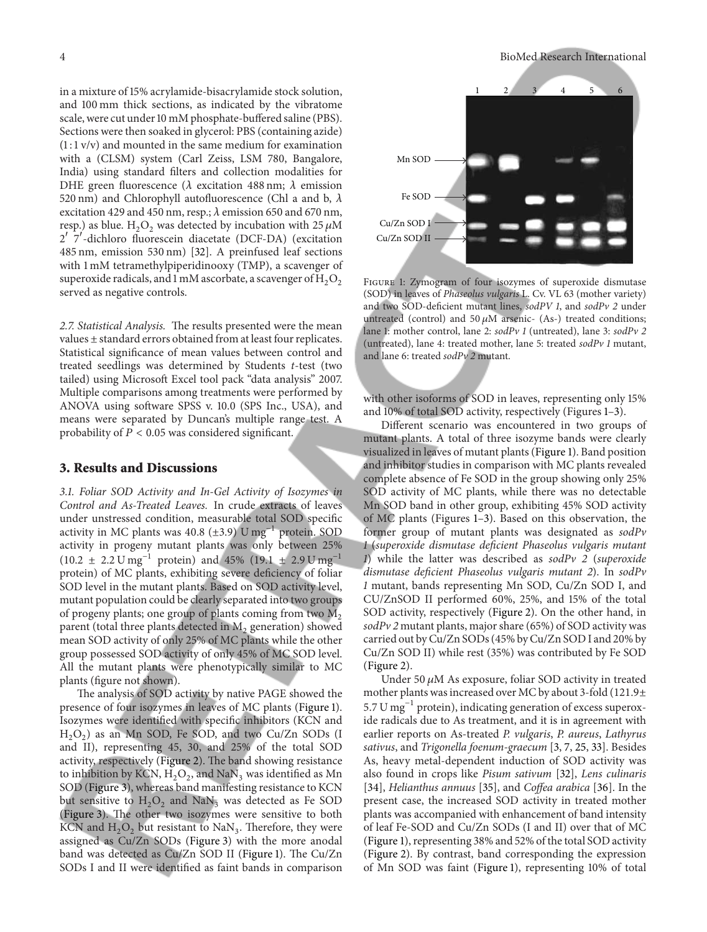in a mixture of 15% acrylamide-bisacrylamide stock solution, and 100 mm thick sections, as indicated by the vibratome scale, were cut under 10 mM phosphate-buffered saline (PBS). Sections were then soaked in glycerol: PBS (containing azide)  $(1:1 \text{ v/v})$  and mounted in the same medium for examination with a (CLSM) system (Carl Zeiss, LSM 780, Bangalore, India) using standard filters and collection modalities for DHE green fluorescence ( $\lambda$  excitation 488 nm;  $\lambda$  emission 520 nm) and Chlorophyll autofluorescence (Chl a and b,  $\lambda$ excitation 429 and 450 nm, resp.;  $\lambda$  emission 650 and 670 nm, resp.) as blue.  $H_2O_2$  was detected by incubation with 25  $\mu$ M 2 7 -dichloro fluorescein diacetate (DCF-DA) (excitation 485 nm, emission 530 nm) [32]. A preinfused leaf sections with 1 mM tetramethylpiperidinooxy (TMP), a scavenger of superoxide radicals, and 1 mM ascorbate, a scavenger of  $H_2O_2$ served as negative controls.

2.7. Statistical Analysis. The results presented were the mean values ± standard errors obtained from at least four replicates. Statistical significance of mean values between control and treated seedlings was determined by Students t-test (two tailed) using Microsoft Excel tool pack "data analysis" 2007. Multiple comparisons among treatments were performed by ANOVA using software SPSS v. 10.0 (SPS Inc., USA), and means were separated by Duncan's multiple range test. A probability of  $P < 0.05$  was considered significant.

#### 3. Results and Discussions

3.1. Foliar SOD Activity and In-Gel Activity of Isozymes in Control and As-Treated Leaves. In crude extracts of leaves under unstressed condition, measurable total SOD specific activity in MC plants was 40.8 ( $\pm$ 3.9) U mg<sup>-1</sup> protein. SOD activity in progeny mutant plants was only between 25%  $(10.2 \pm 2.2 \text{ U mg}^{-1} \text{ protein})$  and 45%  $(19.1 \pm 2.9 \text{ U mg}^{-1} \text{ m}$ protein) of MC plants, exhibiting severe deficiency of foliar SOD level in the mutant plants. Based on SOD activity level, mutant population could be clearly separated into two groups of progeny plants; one group of plants coming from two  $M_2$ parent (total three plants detected in  $\mathrm{M}_2$  generation) showed mean SOD activity of only 25% of MC plants while the other group possessed SOD activity of only 45% of MC SOD level. All the mutant plants were phenotypically similar to MC plants (figure not shown).

The analysis of SOD activity by native PAGE showed the presence of four isozymes in leaves of MC plants (Figure 1). Isozymes were identified with specific inhibitors (KCN and  $H_2O_2$ ) as an Mn SOD, Fe SOD, and two Cu/Zn SODs (I and II), representing 45, 30, and 25% of the total SOD activity, respectively (Figure 2). The band showing resistance to inhibition by KCN,  $H_2O_2$ , and  $\text{NaN}_3$  was identified as Mn SOD (Figure 3), whereas band manifesting resistance to KCN but sensitive to  $H_2O_2$  and  $\text{NaN}_3$  was detected as Fe SOD (Figure 3). The other two isozymes were sensitive to both KCN and  $\text{H}_{2}\text{O}_{2}$  but resistant to NaN<sub>3</sub>. Therefore, they were assigned as Cu/Zn SODs (Figure 3) with the more anodal band was detected as Cu/Zn SOD II (Figure 1). The Cu/Zn SODs I and II were identified as faint bands in comparison



Figure 1: Zymogram of four isozymes of superoxide dismutase (SOD) in leaves of Phaseolus vulgaris L. Cv. VL 63 (mother variety) and two SOD-deficient mutant lines, sodPV 1, and sodPv 2 under untreated (control) and 50  $\mu$ M arsenic- (As-) treated conditions; lane 1: mother control, lane 2: sodPv 1 (untreated), lane 3: sodPv 2 (untreated), lane 4: treated mother, lane 5: treated sodPv 1 mutant, and lane 6: treated sodPv 2 mutant.

with other isoforms of SOD in leaves, representing only 15% and 10% of total SOD activity, respectively (Figures 1–3).

Different scenario was encountered in two groups of mutant plants. A total of three isozyme bands were clearly visualized in leaves of mutant plants (Figure 1). Band position and inhibitor studies in comparison with MC plants revealed complete absence of Fe SOD in the group showing only 25% SOD activity of MC plants, while there was no detectable Mn SOD band in other group, exhibiting 45% SOD activity of MC plants (Figures 1–3). Based on this observation, the former group of mutant plants was designated as sodPv 1 (superoxide dismutase deficient Phaseolus vulgaris mutant 1) while the latter was described as sodPv 2 (superoxide dismutase deficient Phaseolus vulgaris mutant 2). In sodPv 1 mutant, bands representing Mn SOD, Cu/Zn SOD I, and CU/ZnSOD II performed 60%, 25%, and 15% of the total SOD activity, respectively (Figure 2). On the other hand, in  $sodPv$  2 mutant plants, major share (65%) of SOD activity was carried out by Cu/Zn SODs (45% by Cu/Zn SOD I and 20% by Cu/Zn SOD II) while rest (35%) was contributed by Fe SOD (Figure 2).

Under 50  $\mu$ M As exposure, foliar SOD activity in treated mother plants was increased over MC by about 3-fold (121.9± 5.7 U mg<sup> $-1$ </sup> protein), indicating generation of excess superoxide radicals due to As treatment, and it is in agreement with earlier reports on As-treated P. vulgaris, P. aureus, Lathyrus sativus, and Trigonella foenum-graecum [3, 7, 25, 33]. Besides As, heavy metal-dependent induction of SOD activity was also found in crops like Pisum sativum [32], Lens culinaris [34], Helianthus annuus [35], and Coffea arabica [36]. In the present case, the increased SOD activity in treated mother plants was accompanied with enhancement of band intensity of leaf Fe-SOD and Cu/Zn SODs (I and II) over that of MC (Figure 1), representing 38% and 52% of the total SOD activity (Figure 2). By contrast, band corresponding the expression of Mn SOD was faint (Figure 1), representing 10% of total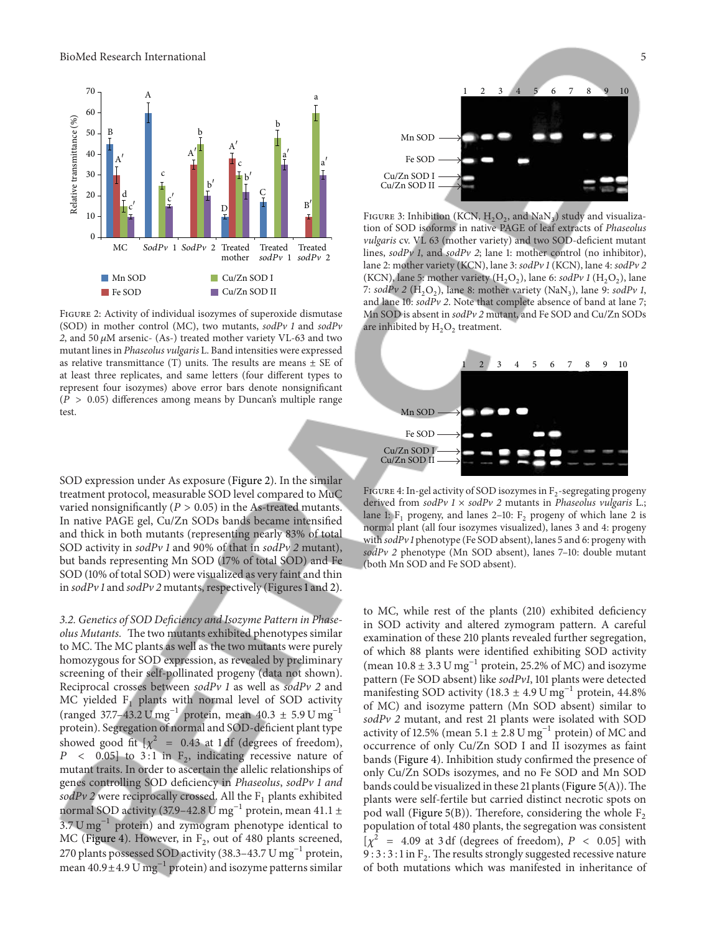

Figure 2: Activity of individual isozymes of superoxide dismutase (SOD) in mother control (MC), two mutants,  $\text{sdPv}$  1 and  $\text{sdPv}$ 2, and 50  $\mu$ M arsenic- (As-) treated mother variety VL-63 and two mutant lines in Phaseolus vulgaris L. Band intensities were expressed as relative transmittance (T) units. The results are means  $\pm$  SE of at least three replicates, and same letters (four different types to represent four isozymes) above error bars denote nonsignificant  $(P > 0.05)$  differences among means by Duncan's multiple range test.

SOD expression under As exposure (Figure 2). In the similar treatment protocol, measurable SOD level compared to MuC varied nonsignificantly ( $P > 0.05$ ) in the As-treated mutants. In native PAGE gel, Cu/Zn SODs bands became intensified and thick in both mutants (representing nearly 83% of total SOD activity in sodPv 1 and 90% of that in sodPv 2 mutant), but bands representing Mn SOD (17% of total SOD) and Fe SOD (10% of total SOD) were visualized as very faint and thin in  $\text{so}dPv$  1 and  $\text{so}dPv$  2 mutants, respectively (Figures 1 and 2).

3.2. Genetics of SOD Deficiency and Isozyme Pattern in Phaseolus Mutants. The two mutants exhibited phenotypes similar to MC. The MC plants as well as the two mutants were purely homozygous for SOD expression, as revealed by preliminary screening of their self-pollinated progeny (data not shown). Reciprocal crosses between  $\text{sodPv}$  1 as well as  $\text{sodPv}$  2 and MC yielded  $F_1$  plants with normal level of SOD activity (ranged 37.7–43.2 U mg<sup>-1</sup> protein, mean 40.3 ± 5.9 U mg<sup>-1</sup> protein). Segregation of normal and SOD-deficient plant type showed good fit  $[\chi^2 = 0.43$  at 1 df (degrees of freedom),  $P \sim 0.05$  to 3:1 in  $F_2$ , indicating recessive nature of mutant traits. In order to ascertain the allelic relationships of genes controlling SOD deficiency in Phaseolus, sodPv 1 and sodPv 2 were reciprocally crossed. All the  $F_1$  plants exhibited normal SOD activity (37.9–42.8 U mg<sup>-1</sup> protein, mean 41.1 ± 3.7 U mg−1 protein) and zymogram phenotype identical to MC (Figure 4). However, in  $F_2$ , out of 480 plants screened, 270 plants possessed SOD activity (38.3–43.7 U mg<sup>-1</sup> protein, mean 40.9±4.9 U mg<sup>-1</sup> protein) and isozyme patterns similar

FIGURE 4: In-gel activity of SOD isozymes in  $F_2$ -segregating progeny derived from sodPv  $1 \times \text{softmax}$  2 mutants in Phaseolus vulgaris L.; lane 1:  $F_1$  progeny, and lanes 2–10:  $F_2$  progeny of which lane 2 is normal plant (all four isozymes visualized), lanes 3 and 4: progeny with  $\frac{\text{mod}P}{\nu}$  1 phenotype (Fe SOD absent), lanes 5 and 6: progeny with sodPv 2 phenotype (Mn SOD absent), lanes 7–10: double mutant (both Mn SOD and Fe SOD absent).

Mn SOD Fe SOD Cu/Zn SOD I Cu/Zn SOD II

to MC, while rest of the plants (210) exhibited deficiency in SOD activity and altered zymogram pattern. A careful examination of these 210 plants revealed further segregation, of which 88 plants were identified exhibiting SOD activity (mean  $10.8 \pm 3.3$  U  $\text{mg}^{-1}$  protein, 25.2% of MC) and isozyme pattern (Fe SOD absent) like sodPv1, 101 plants were detected manifesting SOD activity (18.3  $\pm$  4.9 U mg<sup>-1</sup> protein, 44.8% of MC) and isozyme pattern (Mn SOD absent) similar to sodPv 2 mutant, and rest 21 plants were isolated with SOD activity of 12.5% (mean  $5.1 \pm 2.8 \text{ U mg}^{-1}$  protein) of MC and occurrence of only Cu/Zn SOD I and II isozymes as faint bands (Figure 4). Inhibition study confirmed the presence of only Cu/Zn SODs isozymes, and no Fe SOD and Mn SOD bands could be visualized in these 21 plants (Figure  $5(A)$ ). The plants were self-fertile but carried distinct necrotic spots on pod wall (Figure 5(B)). Therefore, considering the whole  $F_2$ population of total 480 plants, the segregation was consistent  $[\chi^2$  = 4.09 at 3 df (degrees of freedom),  $P < 0.05$ ] with 9 : 3 : 3 : 1 in  $F_2$ . The results strongly suggested recessive nature of both mutations which was manifested in inheritance of



FIGURE 3: Inhibition (KCN,  $H_2O_2$ , and NaN<sub>3</sub>) study and visualization of SOD isoforms in native PAGE of leaf extracts of Phaseolus vulgaris cv. VL 63 (mother variety) and two SOD-deficient mutant lines, sodPv 1, and sodPv 2; lane 1: mother control (no inhibitor), lane 2: mother variety (KCN), lane 3: sodPv 1 (KCN), lane 4: sodPv 2 (KCN), lane 5: mother variety ( $H_2O_2$ ), lane 6: sodPv 1 ( $H_2O_2$ ), lane 7:  $\text{sdPv } 2 \text{ (H}_2\text{O}_2)$ , lane 8: mother variety (NaN<sub>3</sub>), lane 9:  $\text{sdPv } 1$ , and lane 10: sodPv 2. Note that complete absence of band at lane 7; Mn SOD is absent in sodPv 2 mutant, and Fe SOD and Cu/Zn SODs are inhibited by  $H_2O_2$  treatment.

1 2 3 4 5 6 7 8 9 10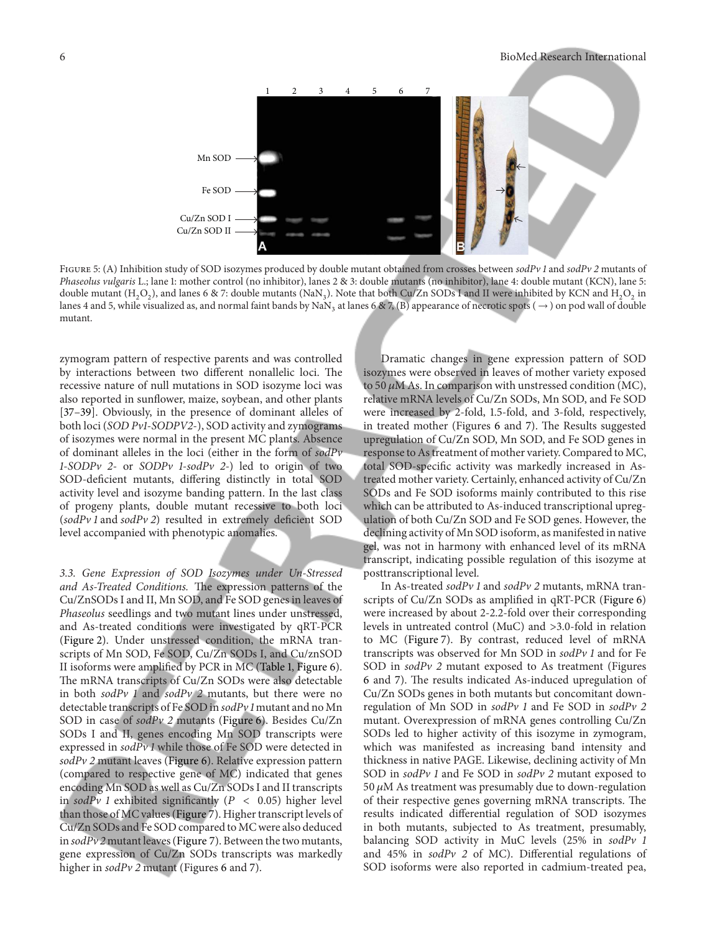

FIGURE 5: (A) Inhibition study of SOD isozymes produced by double mutant obtained from crosses between sodPv 1 and sodPv 2 mutants of Phaseolus vulgaris L.; lane 1: mother control (no inhibitor), lanes 2 & 3: double mutants (no inhibitor), lane 4: double mutant (KCN), lane 5: double mutant (H<sub>2</sub>O<sub>2</sub>), and lanes 6 & 7: double mutants (NaN<sub>3</sub>). Note that both Cu/Zn SODs I and II were inhibited by KCN and H<sub>2</sub>O<sub>2</sub> in lanes 4 and 5, while visualized as, and normal faint bands by  $\text{NaN}_3$  at lanes 6 & 7, (B) appearance of necrotic spots (  $\rightarrow$  ) on pod wall of double mutant.

zymogram pattern of respective parents and was controlled by interactions between two different nonallelic loci. The recessive nature of null mutations in SOD isozyme loci was also reported in sunflower, maize, soybean, and other plants [37–39]. Obviously, in the presence of dominant alleles of both loci (SOD Pv1-SODPV2-), SOD activity and zymograms of isozymes were normal in the present MC plants. Absence of dominant alleles in the loci (either in the form of sodPv 1-SODPv 2- or SODPv 1-sodPv 2-) led to origin of two SOD-deficient mutants, differing distinctly in total SOD activity level and isozyme banding pattern. In the last class of progeny plants, double mutant recessive to both loci (sodPv 1 and sodPv 2) resulted in extremely deficient SOD level accompanied with phenotypic anomalies.

3.3. Gene Expression of SOD Isozymes under Un-Stressed and As-Treated Conditions. The expression patterns of the Cu/ZnSODs I and II, Mn SOD, and Fe SOD genes in leaves of Phaseolus seedlings and two mutant lines under unstressed, and As-treated conditions were investigated by qRT-PCR (Figure 2). Under unstressed condition, the mRNA transcripts of Mn SOD, Fe SOD, Cu/Zn SODs I, and Cu/znSOD II isoforms were amplified by PCR in MC (Table 1, Figure 6). The mRNA transcripts of Cu/Zn SODs were also detectable in both  $sodPv$  1 and  $sodPv$  2 mutants, but there were no detectable transcripts of Fe SOD in sodPv 1 mutant and no Mn SOD in case of sodPv 2 mutants (Figure 6). Besides Cu/Zn SODs I and II, genes encoding Mn SOD transcripts were expressed in sodPv 1 while those of Fe SOD were detected in  $sodPv$  2 mutant leaves (Figure 6). Relative expression pattern (compared to respective gene of MC) indicated that genes encoding Mn SOD as well as Cu/Zn SODs I and II transcripts in sodPv 1 exhibited significantly ( $P < 0.05$ ) higher level than those of MC values (Figure 7). Higher transcript levels of Cu/Zn SODs and Fe SOD compared to MC were also deduced in  $\text{so} d \text{Pv} 2$  mutant leaves (Figure 7). Between the two mutants, gene expression of Cu/Zn SODs transcripts was markedly higher in sodPv 2 mutant (Figures 6 and 7).

Dramatic changes in gene expression pattern of SOD isozymes were observed in leaves of mother variety exposed to 50  $\mu$ M As. In comparison with unstressed condition (MC), relative mRNA levels of Cu/Zn SODs, Mn SOD, and Fe SOD were increased by 2-fold, 1.5-fold, and 3-fold, respectively, in treated mother (Figures 6 and 7). The Results suggested upregulation of Cu/Zn SOD, Mn SOD, and Fe SOD genes in response to As treatment of mother variety. Compared to MC, total SOD-specific activity was markedly increased in Astreated mother variety. Certainly, enhanced activity of Cu/Zn SODs and Fe SOD isoforms mainly contributed to this rise which can be attributed to As-induced transcriptional upregulation of both Cu/Zn SOD and Fe SOD genes. However, the declining activity of Mn SOD isoform, as manifested in native gel, was not in harmony with enhanced level of its mRNA transcript, indicating possible regulation of this isozyme at posttranscriptional level.

In As-treated sodPv 1 and sodPv 2 mutants, mRNA transcripts of Cu/Zn SODs as amplified in qRT-PCR (Figure 6) were increased by about 2-2.2-fold over their corresponding levels in untreated control (MuC) and >3.0-fold in relation to MC (Figure 7). By contrast, reduced level of mRNA transcripts was observed for Mn SOD in sodPv 1 and for Fe SOD in sodPv 2 mutant exposed to As treatment (Figures 6 and 7). The results indicated As-induced upregulation of Cu/Zn SODs genes in both mutants but concomitant downregulation of Mn SOD in sodPv 1 and Fe SOD in sodPv 2 mutant. Overexpression of mRNA genes controlling Cu/Zn SODs led to higher activity of this isozyme in zymogram, which was manifested as increasing band intensity and thickness in native PAGE. Likewise, declining activity of Mn SOD in sodPv 1 and Fe SOD in sodPv 2 mutant exposed to 50  $\mu$ M As treatment was presumably due to down-regulation of their respective genes governing mRNA transcripts. The results indicated differential regulation of SOD isozymes in both mutants, subjected to As treatment, presumably, balancing SOD activity in MuC levels (25% in sodPv 1 and 45% in sodPv 2 of MC). Differential regulations of SOD isoforms were also reported in cadmium-treated pea,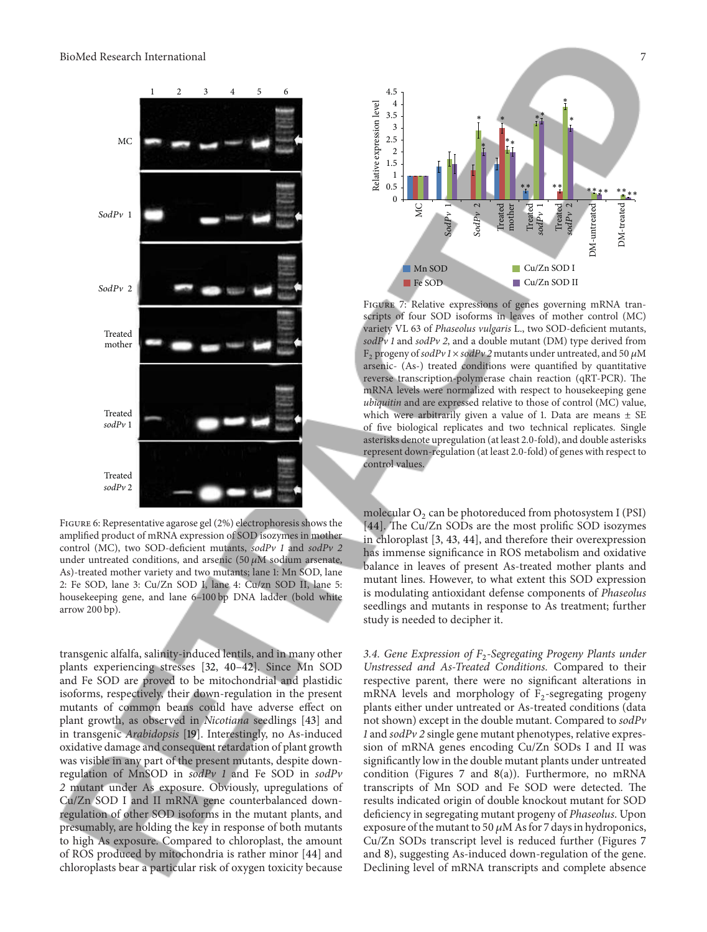

Figure 6: Representative agarose gel (2%) electrophoresis shows the amplified product of mRNA expression of SOD isozymes in mother control (MC), two SOD-deficient mutants, sodPv 1 and sodPv 2 under untreated conditions, and arsenic  $(50 \mu M)$  sodium arsenate, As)-treated mother variety and two mutants; lane 1: Mn SOD, lane 2: Fe SOD, lane 3: Cu/Zn SOD I, lane 4: Cu/zn SOD II, lane 5: housekeeping gene, and lane 6–100 bp DNA ladder (bold white arrow 200 bp).

transgenic alfalfa, salinity-induced lentils, and in many other plants experiencing stresses [32, 40–42]. Since Mn SOD and Fe SOD are proved to be mitochondrial and plastidic isoforms, respectively, their down-regulation in the present mutants of common beans could have adverse effect on plant growth, as observed in Nicotiana seedlings [43] and in transgenic Arabidopsis [19]. Interestingly, no As-induced oxidative damage and consequent retardation of plant growth was visible in any part of the present mutants, despite downregulation of MnSOD in sodPv 1 and Fe SOD in sodPv 2 mutant under As exposure. Obviously, upregulations of Cu/Zn SOD I and II mRNA gene counterbalanced downregulation of other SOD isoforms in the mutant plants, and presumably, are holding the key in response of both mutants to high As exposure. Compared to chloroplast, the amount of ROS produced by mitochondria is rather minor [44] and chloroplasts bear a particular risk of oxygen toxicity because



FIGURE 7: Relative expressions of genes governing mRNA transcripts of four SOD isoforms in leaves of mother control (MC) variety VL 63 of Phaseolus vulgaris L., two SOD-deficient mutants,  $sodPv1$  and  $sodPv2$ , and a double mutant (DM) type derived from F<sub>2</sub> progeny of sodPv 1  $\times$  sodPv 2 mutants under untreated, and 50  $\mu$ M arsenic- (As-) treated conditions were quantified by quantitative reverse transcription-polymerase chain reaction (qRT-PCR). The mRNA levels were normalized with respect to housekeeping gene ubiquitin and are expressed relative to those of control (MC) value, which were arbitrarily given a value of 1. Data are means  $\pm$  SE of five biological replicates and two technical replicates. Single asterisks denote upregulation (at least 2.0-fold), and double asterisks represent down-regulation (at least 2.0-fold) of genes with respect to control values.

molecular  $O_2$  can be photoreduced from photosystem I (PSI) [44]. The Cu/Zn SODs are the most prolific SOD isozymes in chloroplast [3, 43, 44], and therefore their overexpression has immense significance in ROS metabolism and oxidative balance in leaves of present As-treated mother plants and mutant lines. However, to what extent this SOD expression is modulating antioxidant defense components of Phaseolus seedlings and mutants in response to As treatment; further study is needed to decipher it.

3.4. Gene Expression of  $F_2$ -Segregating Progeny Plants under Unstressed and As-Treated Conditions. Compared to their respective parent, there were no significant alterations in mRNA levels and morphology of  $F_2$ -segregating progeny plants either under untreated or As-treated conditions (data not shown) except in the double mutant. Compared to sodPv 1 and sodPv 2 single gene mutant phenotypes, relative expression of mRNA genes encoding Cu/Zn SODs I and II was significantly low in the double mutant plants under untreated condition (Figures 7 and 8(a)). Furthermore, no mRNA transcripts of Mn SOD and Fe SOD were detected. The results indicated origin of double knockout mutant for SOD deficiency in segregating mutant progeny of Phaseolus. Upon exposure of the mutant to 50  $\mu$ M As for 7 days in hydroponics, Cu/Zn SODs transcript level is reduced further (Figures 7 and 8), suggesting As-induced down-regulation of the gene. Declining level of mRNA transcripts and complete absence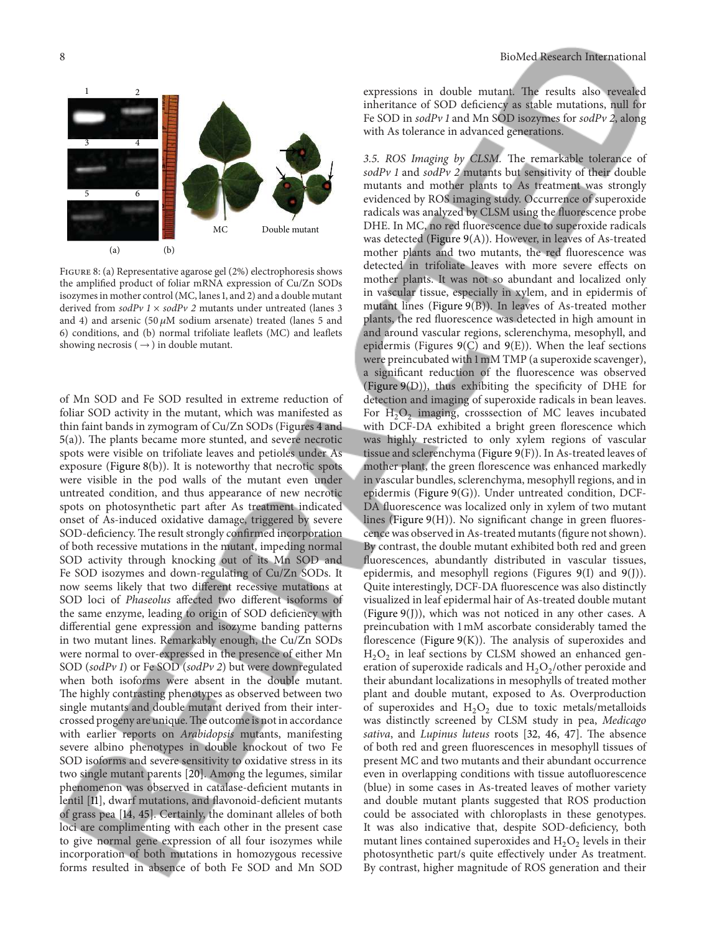# $(a)$   $(b)$ 1 2 3 4 5 6 MC Double mutant

Figure 8: (a) Representative agarose gel (2%) electrophoresis shows the amplified product of foliar mRNA expression of Cu/Zn SODs isozymes in mother control (MC, lanes 1, and 2) and a double mutant derived from  $\text{sodPv}$  1  $\times$   $\text{sodPv}$  2 mutants under untreated (lanes 3 and 4) and arsenic (50  $\mu$ M sodium arsenate) treated (lanes 5 and 6) conditions, and (b) normal trifoliate leaflets (MC) and leaflets showing necrosis ( $\rightarrow$ ) in double mutant.

of Mn SOD and Fe SOD resulted in extreme reduction of foliar SOD activity in the mutant, which was manifested as thin faint bands in zymogram of Cu/Zn SODs (Figures 4 and 5(a)). The plants became more stunted, and severe necrotic spots were visible on trifoliate leaves and petioles under As exposure (Figure 8(b)). It is noteworthy that necrotic spots were visible in the pod walls of the mutant even under untreated condition, and thus appearance of new necrotic spots on photosynthetic part after As treatment indicated onset of As-induced oxidative damage, triggered by severe SOD-deficiency. The result strongly confirmed incorporation of both recessive mutations in the mutant, impeding normal SOD activity through knocking out of its Mn SOD and Fe SOD isozymes and down-regulating of Cu/Zn SODs. It now seems likely that two different recessive mutations at SOD loci of Phaseolus affected two different isoforms of the same enzyme, leading to origin of SOD deficiency with differential gene expression and isozyme banding patterns in two mutant lines. Remarkably enough, the Cu/Zn SODs were normal to over-expressed in the presence of either Mn SOD (sodPv 1) or Fe SOD (sodPv 2) but were downregulated when both isoforms were absent in the double mutant. The highly contrasting phenotypes as observed between two single mutants and double mutant derived from their intercrossed progeny are unique.The outcome is not in accordance with earlier reports on Arabidopsis mutants, manifesting severe albino phenotypes in double knockout of two Fe SOD isoforms and severe sensitivity to oxidative stress in its two single mutant parents [20]. Among the legumes, similar phenomenon was observed in catalase-deficient mutants in lentil [11], dwarf mutations, and flavonoid-deficient mutants of grass pea [14, 45]. Certainly, the dominant alleles of both loci are complimenting with each other in the present case to give normal gene expression of all four isozymes while incorporation of both mutations in homozygous recessive forms resulted in absence of both Fe SOD and Mn SOD

expressions in double mutant. The results also revealed inheritance of SOD deficiency as stable mutations, null for Fe SOD in sodPv 1 and Mn SOD isozymes for sodPv 2, along with As tolerance in advanced generations.

3.5. ROS Imaging by CLSM. The remarkable tolerance of  $sodPv$  1 and  $sodPv$  2 mutants but sensitivity of their double mutants and mother plants to As treatment was strongly evidenced by ROS imaging study. Occurrence of superoxide radicals was analyzed by CLSM using the fluorescence probe DHE. In MC, no red fluorescence due to superoxide radicals was detected (Figure 9(A)). However, in leaves of As-treated mother plants and two mutants, the red fluorescence was detected in trifoliate leaves with more severe effects on mother plants. It was not so abundant and localized only in vascular tissue, especially in xylem, and in epidermis of mutant lines (Figure 9(B)). In leaves of As-treated mother plants, the red fluorescence was detected in high amount in and around vascular regions, sclerenchyma, mesophyll, and epidermis (Figures 9(C) and 9(E)). When the leaf sections were preincubated with 1 mM TMP (a superoxide scavenger), a significant reduction of the fluorescence was observed (Figure 9(D)), thus exhibiting the specificity of DHE for detection and imaging of superoxide radicals in bean leaves. For  $H_2O_2$  imaging, crosssection of MC leaves incubated with DCF-DA exhibited a bright green florescence which was highly restricted to only xylem regions of vascular tissue and sclerenchyma (Figure 9(F)). In As-treated leaves of mother plant, the green florescence was enhanced markedly in vascular bundles, sclerenchyma, mesophyll regions, and in epidermis (Figure 9(G)). Under untreated condition, DCF-DA fluorescence was localized only in xylem of two mutant lines (Figure 9(H)). No significant change in green fluorescence was observed in As-treated mutants (figure not shown). By contrast, the double mutant exhibited both red and green fluorescences, abundantly distributed in vascular tissues, epidermis, and mesophyll regions (Figures 9(I) and 9(J)). Quite interestingly, DCF-DA fluorescence was also distinctly visualized in leaf epidermal hair of As-treated double mutant (Figure 9(J)), which was not noticed in any other cases. A preincubation with 1 mM ascorbate considerably tamed the florescence (Figure 9(K)). The analysis of superoxides and  $H_2O_2$  in leaf sections by CLSM showed an enhanced generation of superoxide radicals and  $H_2O_2$ /other peroxide and their abundant localizations in mesophylls of treated mother plant and double mutant, exposed to As. Overproduction of superoxides and  $H_2O_2$  due to toxic metals/metalloids was distinctly screened by CLSM study in pea, Medicago sativa, and Lupinus luteus roots [32, 46, 47]. The absence of both red and green fluorescences in mesophyll tissues of present MC and two mutants and their abundant occurrence even in overlapping conditions with tissue autofluorescence (blue) in some cases in As-treated leaves of mother variety and double mutant plants suggested that ROS production could be associated with chloroplasts in these genotypes. It was also indicative that, despite SOD-deficiency, both mutant lines contained superoxides and  $H_2O_2$  levels in their photosynthetic part/s quite effectively under As treatment. By contrast, higher magnitude of ROS generation and their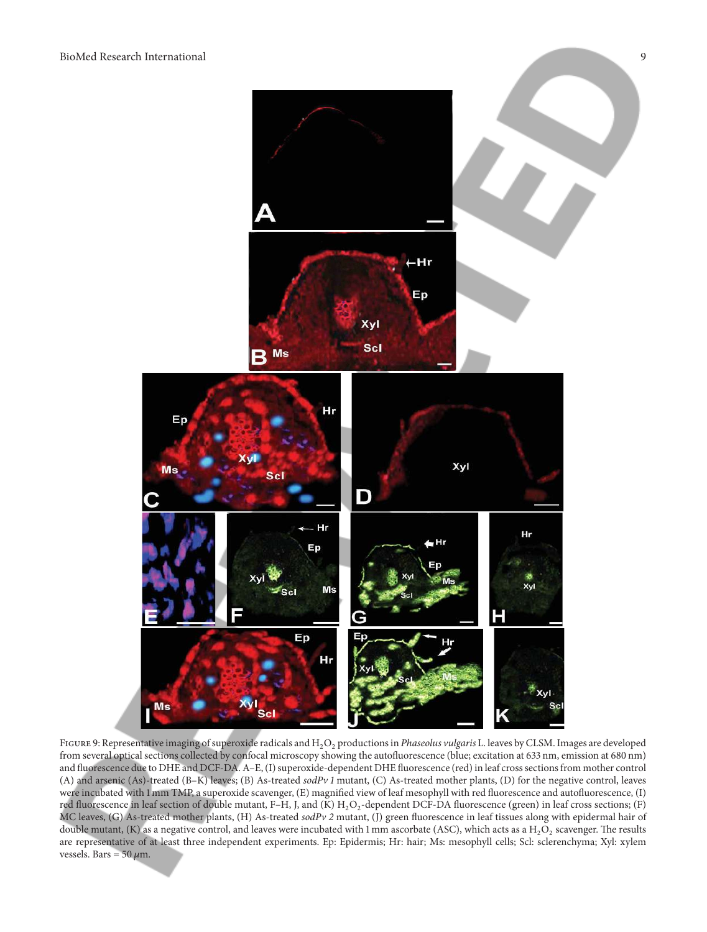

FIGURE 9: Representative imaging of superoxide radicals and  $H_2O_2$  productions in Phaseolus vulgaris L. leaves by CLSM. Images are developed from several optical sections collected by confocal microscopy showing the autofluorescence (blue; excitation at 633 nm, emission at 680 nm) and fluorescence due to DHE and DCF-DA. A–E, (I) superoxide-dependent DHE fluorescence (red) in leaf crosssections from mother control (A) and arsenic (As)-treated (B–K) leaves; (B) As-treated sodPv 1 mutant, (C) As-treated mother plants, (D) for the negative control, leaves were incubated with 1 mm TMP, a superoxide scavenger, (E) magnified view of leaf mesophyll with red fluorescence and autofluorescence, (I) red fluorescence in leaf section of double mutant, F–H, J, and (K)  $H_2O_2$ -dependent DCF-DA fluorescence (green) in leaf cross sections; (F) MC leaves, (G) As-treated mother plants, (H) As-treated sodPv 2 mutant, (J) green fluorescence in leaf tissues along with epidermal hair of double mutant, (K) as a negative control, and leaves were incubated with 1 mm ascorbate (ASC), which acts as a  $\rm H_2O_2$  scavenger. The results are representative of at least three independent experiments. Ep: Epidermis; Hr: hair; Ms: mesophyll cells; Scl: sclerenchyma; Xyl: xylem vessels. Bars =  $50 \mu m$ .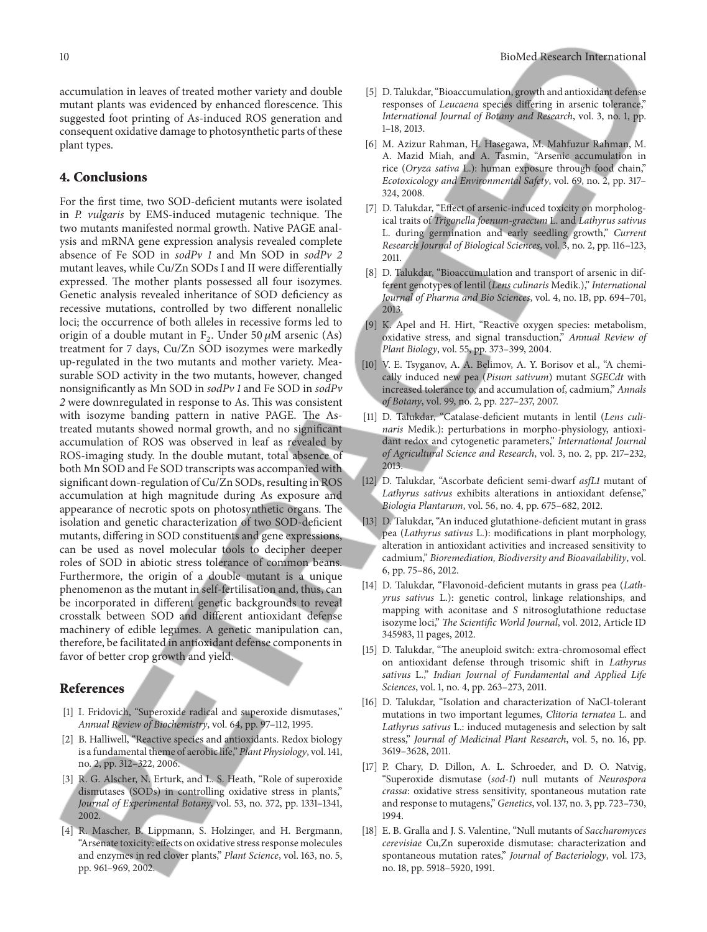accumulation in leaves of treated mother variety and double mutant plants was evidenced by enhanced florescence. This suggested foot printing of As-induced ROS generation and consequent oxidative damage to photosynthetic parts of these plant types.

#### 4. Conclusions

For the first time, two SOD-deficient mutants were isolated in P. vulgaris by EMS-induced mutagenic technique. The two mutants manifested normal growth. Native PAGE analysis and mRNA gene expression analysis revealed complete absence of Fe SOD in sodPv 1 and Mn SOD in sodPv 2 mutant leaves, while Cu/Zn SODs I and II were differentially expressed. The mother plants possessed all four isozymes. Genetic analysis revealed inheritance of SOD deficiency as recessive mutations, controlled by two different nonallelic loci; the occurrence of both alleles in recessive forms led to origin of a double mutant in  $F_2$ . Under 50  $\mu$ M arsenic (As) treatment for 7 days, Cu/Zn SOD isozymes were markedly up-regulated in the two mutants and mother variety. Measurable SOD activity in the two mutants, however, changed nonsignificantly as Mn SOD in sodPv 1 and Fe SOD in sodPv 2 were downregulated in response to As. This was consistent with isozyme banding pattern in native PAGE. The Astreated mutants showed normal growth, and no significant accumulation of ROS was observed in leaf as revealed by ROS-imaging study. In the double mutant, total absence of both Mn SOD and Fe SOD transcripts was accompanied with significant down-regulation of Cu/Zn SODs, resulting in ROS accumulation at high magnitude during As exposure and appearance of necrotic spots on photosynthetic organs. The isolation and genetic characterization of two SOD-deficient mutants, differing in SOD constituents and gene expressions, can be used as novel molecular tools to decipher deeper roles of SOD in abiotic stress tolerance of common beans. Furthermore, the origin of a double mutant is a unique phenomenon as the mutant in self-fertilisation and, thus, can be incorporated in different genetic backgrounds to reveal crosstalk between SOD and different antioxidant defense machinery of edible legumes. A genetic manipulation can, therefore, be facilitated in antioxidant defense components in favor of better crop growth and yield.

#### References

- [1] I. Fridovich, "Superoxide radical and superoxide dismutases," Annual Review of Biochemistry, vol. 64, pp. 97–112, 1995.
- [2] B. Halliwell, "Reactive species and antioxidants. Redox biology is a fundamental theme of aerobic life," Plant Physiology, vol. 141, no. 2, pp. 312–322, 2006.
- [3] R. G. Alscher, N. Erturk, and L. S. Heath, "Role of superoxide dismutases (SODs) in controlling oxidative stress in plants," Journal of Experimental Botany, vol. 53, no. 372, pp. 1331–1341, 2002.
- [4] R. Mascher, B. Lippmann, S. Holzinger, and H. Bergmann, "Arsenate toxicity: effects on oxidative stress response molecules and enzymes in red clover plants," Plant Science, vol. 163, no. 5, pp. 961–969, 2002.
- [5] D. Talukdar, "Bioaccumulation, growth and antioxidant defense responses of Leucaena species differing in arsenic tolerance," International Journal of Botany and Research, vol. 3, no. 1, pp. 1–18, 2013.
- [6] M. Azizur Rahman, H. Hasegawa, M. Mahfuzur Rahman, M. A. Mazid Miah, and A. Tasmin, "Arsenic accumulation in rice (Oryza sativa L.): human exposure through food chain," Ecotoxicology and Environmental Safety, vol. 69, no. 2, pp. 317– 324, 2008.
- [7] D. Talukdar, "Effect of arsenic-induced toxicity on morphological traits of Trigonella foenum-graecum L. and Lathyrus sativus L. during germination and early seedling growth," Current Research Journal of Biological Sciences, vol. 3, no. 2, pp. 116–123, 2011.
- [8] D. Talukdar, "Bioaccumulation and transport of arsenic in different genotypes of lentil (Lens culinaris Medik.)," International Journal of Pharma and Bio Sciences, vol. 4, no. 1B, pp. 694–701, 2013.
- [9] K. Apel and H. Hirt, "Reactive oxygen species: metabolism, oxidative stress, and signal transduction," Annual Review of Plant Biology, vol. 55, pp. 373–399, 2004.
- [10] V. E. Tsyganov, A. A. Belimov, A. Y. Borisov et al., "A chemically induced new pea (Pisum sativum) mutant SGECdt with increased tolerance to, and accumulation of, cadmium," Annals of Botany, vol. 99, no. 2, pp. 227–237, 2007.
- [11] D. Talukdar, "Catalase-deficient mutants in lentil (Lens culinaris Medik.): perturbations in morpho-physiology, antioxidant redox and cytogenetic parameters," International Journal of Agricultural Science and Research, vol. 3, no. 2, pp. 217–232, 2013.
- [12] D. Talukdar, "Ascorbate deficient semi-dwarf asfL1 mutant of Lathyrus sativus exhibits alterations in antioxidant defense," Biologia Plantarum, vol. 56, no. 4, pp. 675–682, 2012.
- [13] D. Talukdar, "An induced glutathione-deficient mutant in grass pea (Lathyrus sativus L.): modifications in plant morphology, alteration in antioxidant activities and increased sensitivity to cadmium," Bioremediation, Biodiversity and Bioavailability, vol. 6, pp. 75–86, 2012.
- [14] D. Talukdar, "Flavonoid-deficient mutants in grass pea (Lathyrus sativus L.): genetic control, linkage relationships, and mapping with aconitase and S nitrosoglutathione reductase isozyme loci," The Scientific World Journal, vol. 2012, Article ID 345983, 11 pages, 2012.
- [15] D. Talukdar, "The aneuploid switch: extra-chromosomal effect on antioxidant defense through trisomic shift in Lathyrus sativus L." Indian Journal of Fundamental and Applied Life Sciences, vol. 1, no. 4, pp. 263–273, 2011.
- [16] D. Talukdar, "Isolation and characterization of NaCl-tolerant mutations in two important legumes, Clitoria ternatea L. and Lathyrus sativus L.: induced mutagenesis and selection by salt stress," Journal of Medicinal Plant Research, vol. 5, no. 16, pp. 3619–3628, 2011.
- [17] P. Chary, D. Dillon, A. L. Schroeder, and D. O. Natvig, "Superoxide dismutase (sod-1) null mutants of Neurospora crassa: oxidative stress sensitivity, spontaneous mutation rate and response to mutagens," Genetics, vol. 137, no. 3, pp. 723–730, 1994.
- [18] E. B. Gralla and J. S. Valentine, "Null mutants of Saccharomyces cerevisiae Cu,Zn superoxide dismutase: characterization and spontaneous mutation rates," Journal of Bacteriology, vol. 173, no. 18, pp. 5918–5920, 1991.